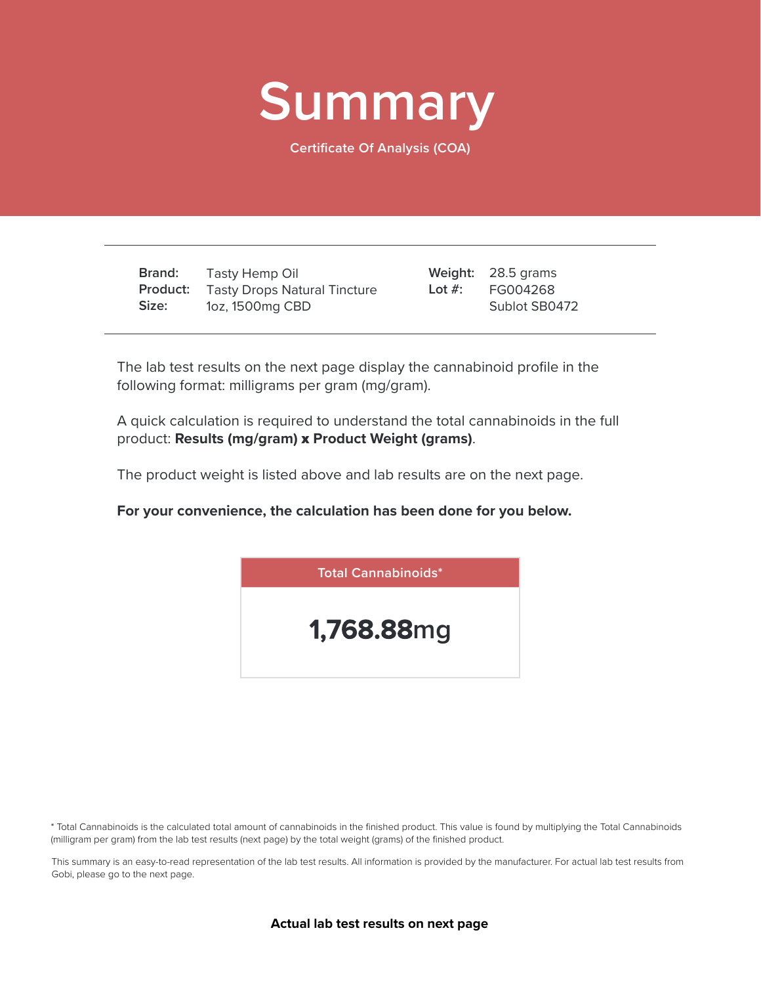

**Certificate Of Analysis (COA)**

**Brand: Product:** Tasty Drops Natural Tincture **Size:** Tasty Hemp Oil 1oz, 1500mg CBD

28.5 grams **Weight:** FG004268 Sublot SB0472 **Lot #:**

The lab test results on the next page display the cannabinoid profile in the following format: milligrams per gram (mg/gram).

A quick calculation is required to understand the total cannabinoids in the full product: **Results (mg/gram)** x **Product Weight (grams)**.

The product weight is listed above and lab results are on the next page.

**For your convenience, the calculation has been done for you below.**



\* Total Cannabinoids is the calculated total amount of cannabinoids in the finished product. This value is found by multiplying the Total Cannabinoids (milligram per gram) from the lab test results (next page) by the total weight (grams) of the finished product.

This summary is an easy-to-read representation of the lab test results. All information is provided by the manufacturer. For actual lab test results from Gobi, please go to the next page.